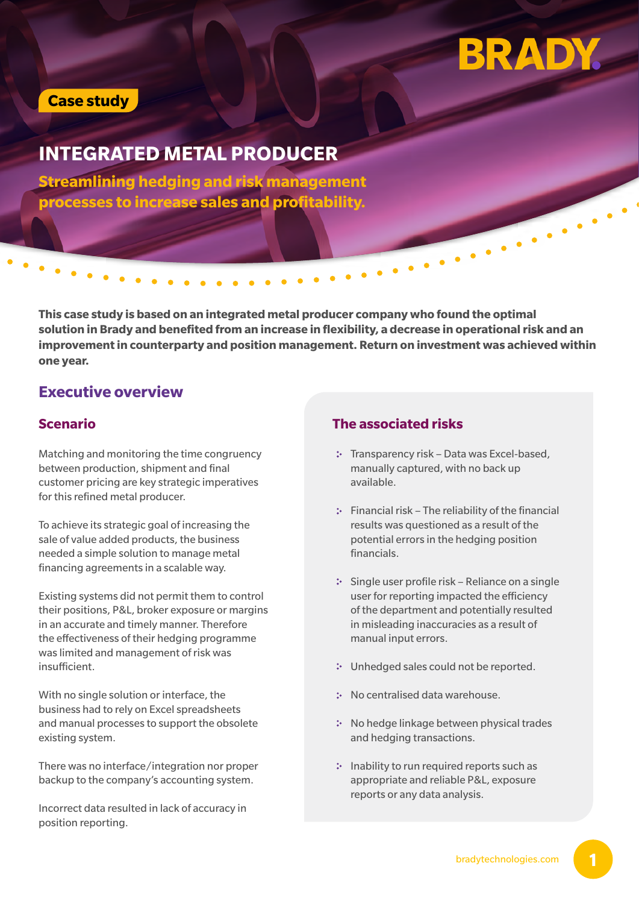# **BRADY.**

## **Case study**

# **INTEGRATED METAL PRODUCER**

**Streamlining hedging and risk management processes to increase sales and profitability.**

**This case study is based on an integrated metal producer company who found the optimal solution in Brady and benefited from an increase in flexibility, a decrease in operational risk and an improvement in counterparty and position management. Return on investment was achieved within one year.**

## **Executive overview**

Matching and monitoring the time congruency between production, shipment and final customer pricing are key strategic imperatives for this refined metal producer.

To achieve its strategic goal of increasing the sale of value added products, the business needed a simple solution to manage metal financing agreements in a scalable way.

Existing systems did not permit them to control their positions, P&L, broker exposure or margins in an accurate and timely manner. Therefore the effectiveness of their hedging programme was limited and management of risk was insufficient.

With no single solution or interface, the business had to rely on Excel spreadsheets and manual processes to support the obsolete existing system.

There was no interface/integration nor proper backup to the company's accounting system.

Incorrect data resulted in lack of accuracy in position reporting.

#### **Scenario The associated risks**

- : Transparency risk Data was Excel-based, manually captured, with no back up available.
- $\therefore$  Financial risk The reliability of the financial results was questioned as a result of the potential errors in the hedging position financials.
- $\therefore$  Single user profile risk Reliance on a single user for reporting impacted the efficiency of the department and potentially resulted in misleading inaccuracies as a result of manual input errors.
- Unhedged sales could not be reported.
- No centralised data warehouse.
- \* No hedge linkage between physical trades and hedging transactions.
- : Inability to run required reports such as appropriate and reliable P&L, exposure reports or any data analysis.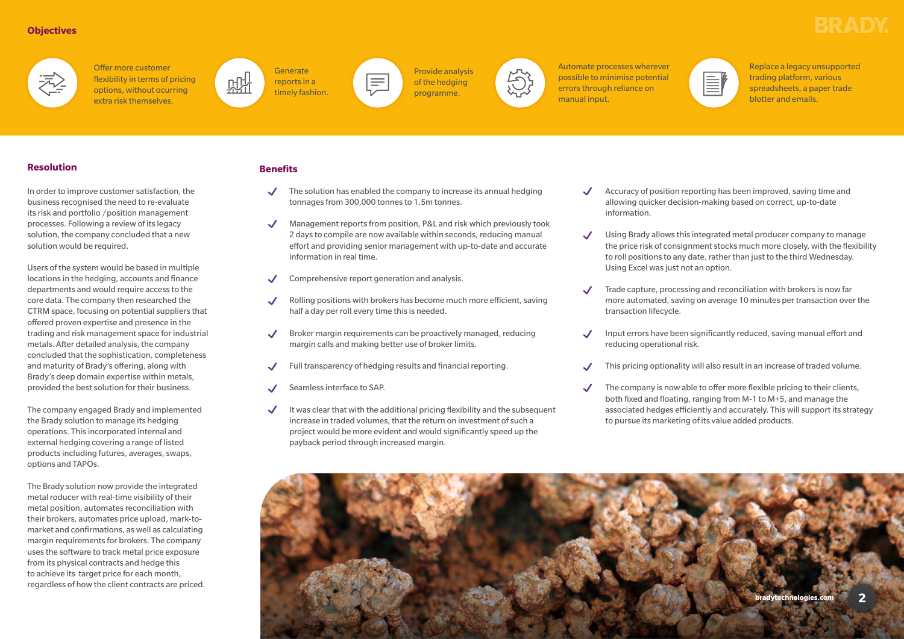#### **Objectives**



Offer more customer flexibility in terms of pricing options, without ocurring extra risk themselves.



**Generate** reports in a timely fashion.



Provide analysis of the hedging programme.



Automate processes wherever possible to minimise potential errors through reliance on manual input.

Replace a legacy unsupported trading platform, various spreadsheets, a paper trade blotter and emails.

#### **Resolution**

In order to improve customer satisfaction, the business recognised the need to re-evaluate its risk and portfolio /position management processes. Following a review of its legacy solution, the company concluded that a new solution would be required.

Users of the system would be based in multiple locations in the hedging, accounts and finance departments and would require access to the core data. The company then researched the CTRM space, focusing on potential suppliers that offered proven expertise and presence in the trading and risk management space for industrial metals. After detailed analysis, the company concluded that the sophistication, completeness and maturity of Brady's offering, along with Brady's deep domain expertise within metals, provided the best solution for their business.

- information.
- $\boldsymbol{J}$ Using Excel was just not an option.
- $\mathcal{L}$ transaction lifecycle.
	- reducing operational risk.
- $\boldsymbol{\mathcal{J}}$
- $\checkmark$

The company engaged Brady and implemented the Brady solution to manage its hedging operations. This incorporated internal and external hedging covering a range of listed products including futures, averages, swaps, options and TAPOs.

The Brady solution now provide the integrated metal roducer with real-time visibility of their metal position, automates reconciliation with their brokers, automates price upload, mark-tomarket and confirmations, as well as calculating margin requirements for brokers. The company uses the software to track metal price exposure from its physical contracts and hedge this to achieve its target price for each month, regardless of how the client contracts are priced.

- $\checkmark$  The solution has enabled the company to increase its annual hedging tonnages from 300,000 tonnes to 1.5m tonnes.
- Management reports from position, P&L and risk which previously took 2 days to compile are now available within seconds, reducing manual effort and providing senior management with up-to-date and accurate information in real time.
- Comprehensive report generation and analysis.
- Rolling positions with brokers has become much more efficient, saving half a day per roll every time this is needed.
- Broker margin requirements can be proactively managed, reducing margin calls and making better use of broker limits.
- Full transparency of hedging results and financial reporting.
- Seamless interface to SAP.
- It was clear that with the additional pricing flexibility and the subsequent  $\checkmark$ increase in traded volumes, that the return on investment of such a project would be more evident and would significantly speed up the payback period through increased margin.







Accuracy of position reporting has been improved, saving time and allowing quicker decision-making based on correct, up-to-date

Using Brady allows this integrated metal producer company to manage the price risk of consignment stocks much more closely, with the flexibility to roll positions to any date, rather than just to the third Wednesday.

Trade capture, processing and reconciliation with brokers is now far more automated, saving on average 10 minutes per transaction over the

Input errors have been significantly reduced, saving manual effort and

This pricing optionality will also result in an increase of traded volume.

The company is now able to offer more flexible pricing to their clients, both fixed and floating, ranging from M-1 to M+5, and manage the associated hedges efficiently and accurately. This will support its strategy to pursue its marketing of its value added products.

#### **Benefits**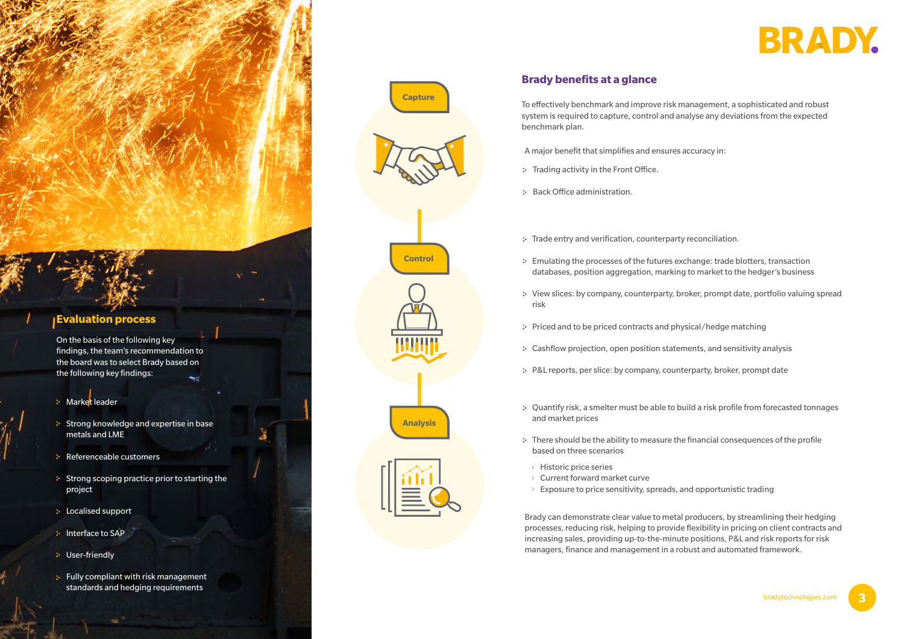**3**





# **Brady benefits at a glance**

On the basis of the following key findings, the team's recommendation to the board was to select Brady based on the following key findings:

To effectively benchmark and improve risk management, a sophisticated and robust system is required to capture, control and analyse any deviations from the expected benchmark plan.

- **Market leader**
- Strong knowledge and expertise in base metals and LME
- **Referenceable customers**
- $\cdot$  Strong scoping practice prior to starting the project
- **E** Localised support
- **Interface to SAP**
- **:** User-friendly
- **:** Fully compliant with risk management standards and hedging requirements

A major benefit that simplifies and ensures accuracy in:

- : Trading activity in the Front Office.
- : Back Office administration.
- \* Trade entry and verification, counterparty reconciliation.
- Emulating the processes of the futures exchange: trade blotters, transaction databases, position aggregation, marking to market to the hedger's business
- View slices: by company, counterparty, broker, prompt date, portfolio valuing spread risk
- \* Priced and to be priced contracts and physical/hedge matching
- Cashflow projection, open position statements, and sensitivity analysis
- P&L reports, per slice: by company, counterparty, broker, prompt date
- Quantify risk, a smelter must be able to build a risk profile from forecasted tonnages and market prices
- There should be the ability to measure the financial consequences of the profile based on three scenarios
	- Historic price series
	- Current forward market curve
	- $\therefore$  Exposure to price sensitivity, spreads, and opportunistic trading









Brady can demonstrate clear value to metal producers, by streamlining their hedging processes, reducing risk, helping to provide flexibility in pricing on client contracts and increasing sales, providing up-to-the-minute positions, P&L and risk reports for risk managers, finance and management in a robust and automated framework.